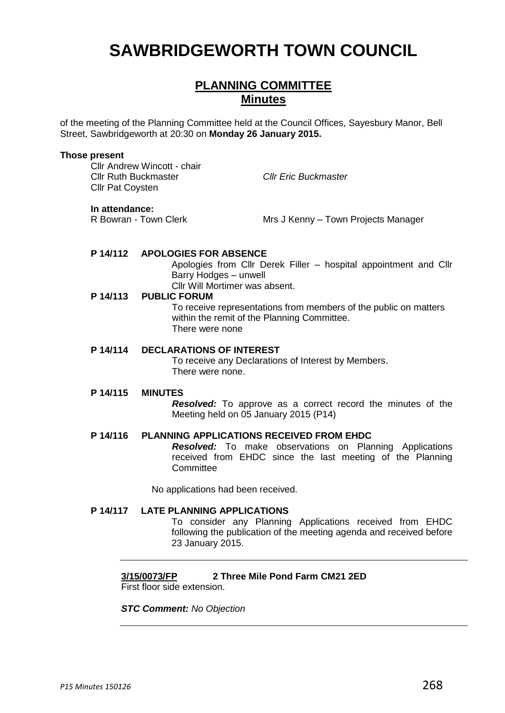# **SAWBRIDGEWORTH TOWN COUNCIL**

# **PLANNING COMMITTEE Minutes**

of the meeting of the Planning Committee held at the Council Offices, Sayesbury Manor, Bell Street, Sawbridgeworth at 20:30 on **Monday 26 January 2015.**

#### **Those present**

Cllr Andrew Wincott - chair Cllr Ruth Buckmaster *Cllr Eric Buckmaster* Cllr Pat Coysten

#### **In attendance:**

R Bowran - Town Clerk Mrs J Kenny – Town Projects Manager

# **P 14/112 APOLOGIES FOR ABSENCE**

Apologies from Cllr Derek Filler – hospital appointment and Cllr Barry Hodges – unwell

Cllr Will Mortimer was absent.

# **P 14/113 PUBLIC FORUM**

To receive representations from members of the public on matters within the remit of the Planning Committee. There were none

# **P 14/114 DECLARATIONS OF INTEREST**

To receive any Declarations of Interest by Members. There were none.

#### **P 14/115 MINUTES**

*Resolved:* To approve as a correct record the minutes of the Meeting held on 05 January 2015 (P14)

# **P 14/116 PLANNING APPLICATIONS RECEIVED FROM EHDC**

*Resolved:* To make observations on Planning Applications received from EHDC since the last meeting of the Planning **Committee** 

No applications had been received.

# **P 14/117 LATE PLANNING APPLICATIONS**

To consider any Planning Applications received from EHDC following the publication of the meeting agenda and received before 23 January 2015.

# **3/15/0073/FP 2 Three Mile Pond Farm CM21 2ED**

First floor side extension.

# *STC Comment: No Objection*